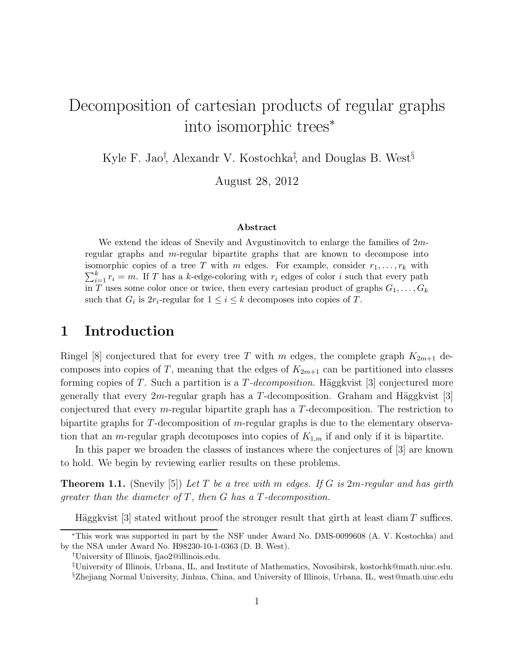## Decomposition of cartesian products of regular graphs into isomorphic trees<sup>∗</sup>

Kyle F. Jao<sup>†</sup>, Alexandr V. Kostochka<sup>‡</sup>, and Douglas B. West<sup>§</sup>

August 28, 2012

#### Abstract

We extend the ideas of Snevily and Avgustinovitch to enlarge the families of 2mregular graphs and m-regular bipartite graphs that are known to decompose into  $\sum_{i=1}^{k} r_i = m$ . If T has a k-edge-coloring with  $r_i$  edges of color i such that every path isomorphic copies of a tree T with m edges. For example, consider  $r_1, \ldots, r_k$  with in T uses some color once or twice, then every cartesian product of graphs  $G_1, \ldots, G_k$ such that  $G_i$  is  $2r_i$ -regular for  $1 \leq i \leq k$  decomposes into copies of T.

## 1 Introduction

Ringel [8] conjectured that for every tree T with m edges, the complete graph  $K_{2m+1}$  decomposes into copies of T, meaning that the edges of  $K_{2m+1}$  can be partitioned into classes forming copies of  $T$ . Such a partition is a  $T$ -decomposition. Häggkvist [3] conjectured more generally that every 2m-regular graph has a T-decomposition. Graham and Häggkvist [3] conjectured that every m-regular bipartite graph has a T-decomposition. The restriction to bipartite graphs for T-decomposition of m-regular graphs is due to the elementary observation that an *m*-regular graph decomposes into copies of  $K_{1,m}$  if and only if it is bipartite.

In this paper we broaden the classes of instances where the conjectures of [3] are known to hold. We begin by reviewing earlier results on these problems.

Theorem 1.1. (Snevily [5]) *Let* T *be a tree with* m *edges. If* G *is* 2m*-regular and has girth greater than the diameter of* T*, then* G *has a* T*-decomposition.*

Häggkvist  $[3]$  stated without proof the stronger result that girth at least diam T suffices.

<sup>∗</sup>This work was supported in part by the NSF under Award No. DMS-0099608 (A. V. Kostochka) and by the NSA under Award No. H98230-10-1-0363 (D. B. West).

<sup>†</sup>University of Illinois, fjao2@illinois.edu.

<sup>‡</sup>University of Illinois, Urbana, IL, and Institute of Mathematics, Novosibirsk, kostochk@math.uiuc.edu. §Zhejiang Normal University, Jinhua, China, and University of Illinois, Urbana, IL, west@math.uiuc.edu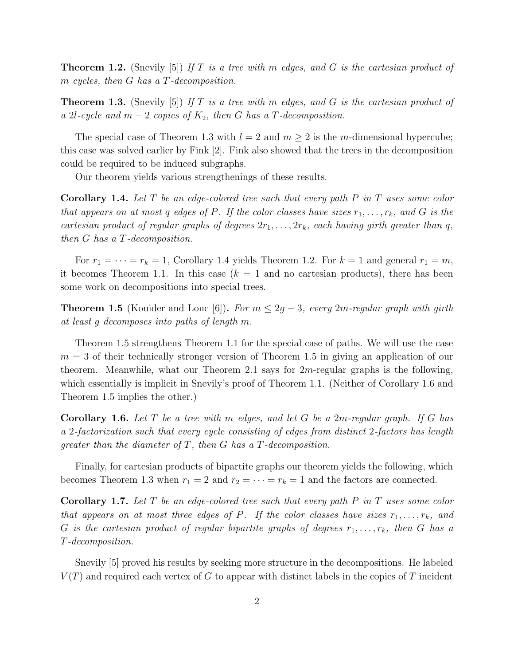Theorem 1.2. (Snevily [5]) *If* T *is a tree with* m *edges, and* G *is the cartesian product of* m *cycles, then* G *has a* T*-decomposition.*

Theorem 1.3. (Snevily [5]) *If* T *is a tree with* m *edges, and* G *is the cartesian product of a* 2l-cycle and  $m-2$  copies of  $K_2$ , then G has a T-decomposition.

The special case of Theorem 1.3 with  $l = 2$  and  $m \geq 2$  is the m-dimensional hypercube; this case was solved earlier by Fink [2]. Fink also showed that the trees in the decomposition could be required to be induced subgraphs.

Our theorem yields various strengthenings of these results.

Corollary 1.4. *Let* T *be an edge-colored tree such that every path* P *in* T *uses some color that appears on at most* q *edges of* P. If the color classes have sizes  $r_1, \ldots, r_k$ , and G is the *cartesian product of regular graphs of degrees*  $2r_1, \ldots, 2r_k$ *, each having girth greater than* q*, then* G *has a* T*-decomposition.*

For  $r_1 = \cdots = r_k = 1$ , Corollary 1.4 yields Theorem 1.2. For  $k = 1$  and general  $r_1 = m$ , it becomes Theorem 1.1. In this case  $(k = 1$  and no cartesian products), there has been some work on decompositions into special trees.

**Theorem 1.5** (Kouider and Lonc [6]). *For*  $m \leq 2g - 3$ , *every* 2*m*-regular graph with girth *at least* g *decomposes into paths of length* m*.*

Theorem 1.5 strengthens Theorem 1.1 for the special case of paths. We will use the case  $m = 3$  of their technically stronger version of Theorem 1.5 in giving an application of our theorem. Meanwhile, what our Theorem 2.1 says for  $2m$ -regular graphs is the following, which essentially is implicit in Snevily's proof of Theorem 1.1. (Neither of Corollary 1.6 and Theorem 1.5 implies the other.)

Corollary 1.6. *Let* T *be a tree with* m *edges, and let* G *be a* 2m*-regular graph. If* G *has a* 2*-factorization such that every cycle consisting of edges from distinct* 2*-factors has length greater than the diameter of* T*, then* G *has a* T*-decomposition.*

Finally, for cartesian products of bipartite graphs our theorem yields the following, which becomes Theorem 1.3 when  $r_1 = 2$  and  $r_2 = \cdots = r_k = 1$  and the factors are connected.

Corollary 1.7. *Let* T *be an edge-colored tree such that every path* P *in* T *uses some color that appears on at most three edges of* P. If the color classes have sizes  $r_1, \ldots, r_k$ , and G *is the cartesian product of regular bipartite graphs of degrees*  $r_1, \ldots, r_k$ , then G has a T*-decomposition.*

Snevily [5] proved his results by seeking more structure in the decompositions. He labeled  $V(T)$  and required each vertex of G to appear with distinct labels in the copies of T incident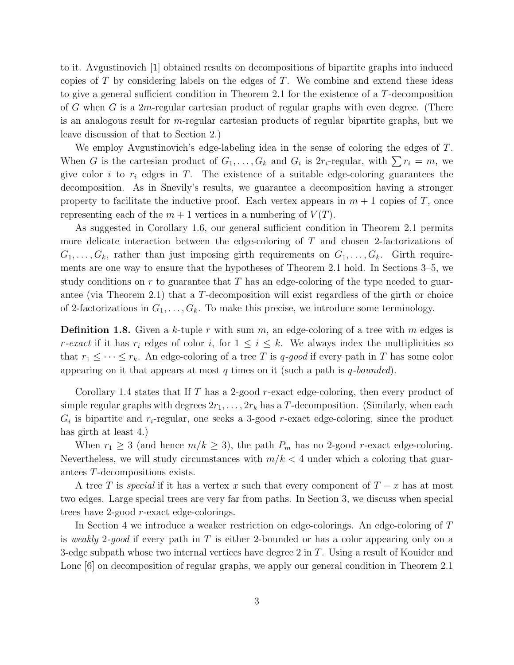to it. Avgustinovich [1] obtained results on decompositions of bipartite graphs into induced copies of  $T$  by considering labels on the edges of  $T$ . We combine and extend these ideas to give a general sufficient condition in Theorem 2.1 for the existence of a T-decomposition of G when G is a 2m-regular cartesian product of regular graphs with even degree. (There is an analogous result for  $m$ -regular cartesian products of regular bipartite graphs, but we leave discussion of that to Section 2.)

We employ Avgustinovich's edge-labeling idea in the sense of coloring the edges of T. When G is the cartesian product of  $G_1, \ldots, G_k$  and  $G_i$  is  $2r_i$ -regular, with  $\sum r_i = m$ , we give color i to  $r_i$  edges in T. The existence of a suitable edge-coloring guarantees the decomposition. As in Snevily's results, we guarantee a decomposition having a stronger property to facilitate the inductive proof. Each vertex appears in  $m + 1$  copies of T, once representing each of the  $m + 1$  vertices in a numbering of  $V(T)$ .

As suggested in Corollary 1.6, our general sufficient condition in Theorem 2.1 permits more delicate interaction between the edge-coloring of T and chosen 2-factorizations of  $G_1, \ldots, G_k$ , rather than just imposing girth requirements on  $G_1, \ldots, G_k$ . Girth requirements are one way to ensure that the hypotheses of Theorem 2.1 hold. In Sections 3–5, we study conditions on  $r$  to guarantee that  $T$  has an edge-coloring of the type needed to guarantee (via Theorem 2.1) that a T-decomposition will exist regardless of the girth or choice of 2-factorizations in  $G_1, \ldots, G_k$ . To make this precise, we introduce some terminology.

**Definition 1.8.** Given a k-tuple r with sum m, an edge-coloring of a tree with m edges is *r*-exact if it has  $r_i$  edges of color i, for  $1 \leq i \leq k$ . We always index the multiplicities so that  $r_1 \leq \cdots \leq r_k$ . An edge-coloring of a tree T is q-good if every path in T has some color appearing on it that appears at most q times on it (such a path is q*-bounded*).

Corollary 1.4 states that If  $T$  has a 2-good  $r$ -exact edge-coloring, then every product of simple regular graphs with degrees  $2r_1, \ldots, 2r_k$  has a T-decomposition. (Similarly, when each  $G_i$  is bipartite and  $r_i$ -regular, one seeks a 3-good r-exact edge-coloring, since the product has girth at least 4.)

When  $r_1 \geq 3$  (and hence  $m/k \geq 3$ ), the path  $P_m$  has no 2-good r-exact edge-coloring. Nevertheless, we will study circumstances with  $m/k < 4$  under which a coloring that guarantees T-decompositions exists.

A tree T is *special* if it has a vertex x such that every component of  $T - x$  has at most two edges. Large special trees are very far from paths. In Section 3, we discuss when special trees have 2-good r-exact edge-colorings.

In Section 4 we introduce a weaker restriction on edge-colorings. An edge-coloring of T is *weakly* 2*-good* if every path in T is either 2-bounded or has a color appearing only on a 3-edge subpath whose two internal vertices have degree  $2$  in  $T$ . Using a result of Kouider and Lonc [6] on decomposition of regular graphs, we apply our general condition in Theorem 2.1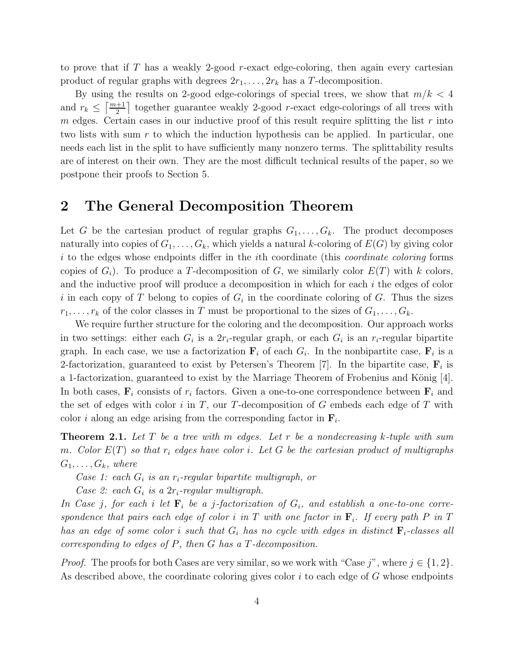to prove that if  $T$  has a weakly 2-good  $r$ -exact edge-coloring, then again every cartesian product of regular graphs with degrees  $2r_1, \ldots, 2r_k$  has a T-decomposition.

By using the results on 2-good edge-colorings of special trees, we show that  $m/k < 4$ and  $r_k \leq \lceil \frac{m+1}{2} \rceil$  together guarantee weakly 2-good r-exact edge-colorings of all trees with m edges. Certain cases in our inductive proof of this result require splitting the list  $r$  into two lists with sum r to which the induction hypothesis can be applied. In particular, one needs each list in the split to have sufficiently many nonzero terms. The splittability results are of interest on their own. They are the most difficult technical results of the paper, so we postpone their proofs to Section 5.

## 2 The General Decomposition Theorem

Let G be the cartesian product of regular graphs  $G_1, \ldots, G_k$ . The product decomposes naturally into copies of  $G_1, \ldots, G_k$ , which yields a natural k-coloring of  $E(G)$  by giving color i to the edges whose endpoints differ in the ith coordinate (this *coordinate coloring* forms copies of  $G_i$ ). To produce a T-decomposition of G, we similarly color  $E(T)$  with k colors, and the inductive proof will produce a decomposition in which for each  $i$  the edges of color i in each copy of T belong to copies of  $G_i$  in the coordinate coloring of G. Thus the sizes  $r_1, \ldots, r_k$  of the color classes in T must be proportional to the sizes of  $G_1, \ldots, G_k$ .

We require further structure for the coloring and the decomposition. Our approach works in two settings: either each  $G_i$  is a  $2r_i$ -regular graph, or each  $G_i$  is an  $r_i$ -regular bipartite graph. In each case, we use a factorization  $\mathbf{F}_i$  of each  $G_i$ . In the nonbipartite case,  $\mathbf{F}_i$  is a 2-factorization, guaranteed to exist by Petersen's Theorem [7]. In the bipartite case,  $\mathbf{F}_i$  is a 1-factorization, guaranteed to exist by the Marriage Theorem of Frobenius and König [4]. In both cases,  $\mathbf{F}_i$  consists of  $r_i$  factors. Given a one-to-one correspondence between  $\mathbf{F}_i$  and the set of edges with color  $i$  in  $T$ , our  $T$ -decomposition of  $G$  embeds each edge of  $T$  with color *i* along an edge arising from the corresponding factor in  $\mathbf{F}_i$ .

Theorem 2.1. *Let* T *be a tree with* m *edges. Let* r *be a nondecreasing* k*-tuple with sum* m. Color  $E(T)$  so that  $r_i$  edges have color i. Let G be the cartesian product of multigraphs  $G_1, \ldots, G_k$ , where

*Case 1: each* G<sup>i</sup> *is an* ri*-regular bipartite multigraph, or*

*Case 2: each*  $G_i$  *is a 2r<sub>i</sub>-regular multigraph.* 

In Case *j*, for each *i* let  $\mathbf{F}_i$  be a *j*-factorization of  $G_i$ , and establish a one-to-one correspondence that pairs each edge of color  $i$  in  $T$  with one factor in  $\mathbf{F}_i$ . If every path  $P$  in  $T$ *has an edge of some color i such that*  $G_i$  *has no cycle with edges in distinct*  $\mathbf{F}_i$ -classes all *corresponding to edges of* P*, then* G *has a* T*-decomposition.*

*Proof.* The proofs for both Cases are very similar, so we work with "Case j", where  $j \in \{1, 2\}$ . As described above, the coordinate coloring gives color  $i$  to each edge of  $G$  whose endpoints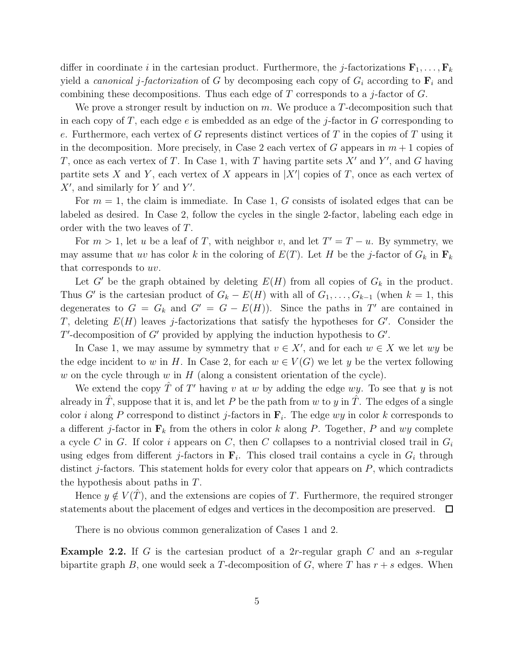differ in coordinate i in the cartesian product. Furthermore, the j-factorizations  $\mathbf{F}_1, \ldots, \mathbf{F}_k$ yield a *canonical j-factorization* of G by decomposing each copy of  $G_i$  according to  $\mathbf{F}_i$  and combining these decompositions. Thus each edge of  $T$  corresponds to a j-factor of  $G$ .

We prove a stronger result by induction on m. We produce a T-decomposition such that in each copy of T, each edge  $e$  is embedded as an edge of the j-factor in G corresponding to e. Furthermore, each vertex of G represents distinct vertices of T in the copies of T using it in the decomposition. More precisely, in Case 2 each vertex of G appears in  $m+1$  copies of T, once as each vertex of T. In Case 1, with T having partite sets  $X'$  and  $Y'$ , and G having partite sets X and Y, each vertex of X appears in  $|X'|$  copies of T, once as each vertex of  $X'$ , and similarly for Y and Y'.

For  $m = 1$ , the claim is immediate. In Case 1, G consists of isolated edges that can be labeled as desired. In Case 2, follow the cycles in the single 2-factor, labeling each edge in order with the two leaves of T.

For  $m > 1$ , let u be a leaf of T, with neighbor v, and let  $T' = T - u$ . By symmetry, we may assume that uv has color k in the coloring of  $E(T)$ . Let H be the j-factor of  $G_k$  in  $\mathbf{F}_k$ that corresponds to uv.

Let  $G'$  be the graph obtained by deleting  $E(H)$  from all copies of  $G_k$  in the product. Thus G' is the cartesian product of  $G_k - E(H)$  with all of  $G_1, \ldots, G_{k-1}$  (when  $k = 1$ , this degenerates to  $G = G_k$  and  $G' = G - E(H)$ . Since the paths in T' are contained in T, deleting  $E(H)$  leaves j-factorizations that satisfy the hypotheses for  $G'$ . Consider the  $T'$ -decomposition of  $G'$  provided by applying the induction hypothesis to  $G'$ .

In Case 1, we may assume by symmetry that  $v \in X'$ , and for each  $w \in X$  we let  $wy$  be the edge incident to w in H. In Case 2, for each  $w \in V(G)$  we let y be the vertex following w on the cycle through w in  $H$  (along a consistent orientation of the cycle).

We extend the copy  $\hat{T}$  of  $T'$  having v at w by adding the edge wy. To see that y is not already in T, suppose that it is, and let P be the path from w to y in T. The edges of a single color *i* along P correspond to distinct *j*-factors in  $\mathbf{F}_i$ . The edge  $wy$  in color *k* corresponds to a different j-factor in  $\mathbf{F}_k$  from the others in color k along P. Together, P and wy complete a cycle C in G. If color i appears on C, then C collapses to a nontrivial closed trail in  $G_i$ using edges from different *j*-factors in  $\mathbf{F}_i$ . This closed trail contains a cycle in  $G_i$  through distinct  $j$ -factors. This statement holds for every color that appears on  $P$ , which contradicts the hypothesis about paths in T.

Hence  $y \notin V(\hat{T})$ , and the extensions are copies of T. Furthermore, the required stronger statements about the placement of edges and vertices in the decomposition are preserved.  $\Box$ 

There is no obvious common generalization of Cases 1 and 2.

**Example 2.2.** If G is the cartesian product of a 2r-regular graph  $C$  and an s-regular bipartite graph B, one would seek a T-decomposition of G, where T has  $r + s$  edges. When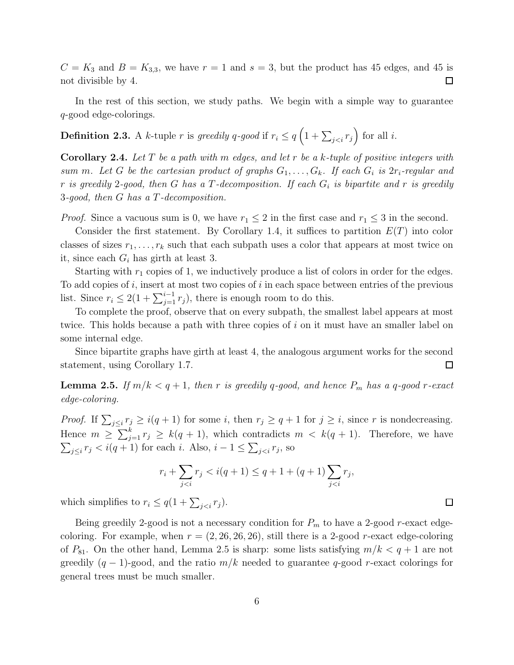$C = K_3$  and  $B = K_{3,3}$ , we have  $r = 1$  and  $s = 3$ , but the product has 45 edges, and 45 is not divisible by 4.  $\Box$ 

In the rest of this section, we study paths. We begin with a simple way to guarantee q-good edge-colorings.

# **Definition 2.3.** A k-tuple r is greedily q-good if  $r_i \leq q \left(1 + \sum_{j for all i.$

Corollary 2.4. *Let* T *be a path with* m *edges, and let* r *be a* k*-tuple of positive integers with sum m.* Let G be the cartesian product of graphs  $G_1, \ldots, G_k$ . If each  $G_i$  is  $2r_i$ -regular and  $r$  *is greedily* 2-good, then  $G$  has a  $T$ -decomposition. If each  $G_i$  is bipartite and  $r$  is greedily 3*-good, then* G *has a* T*-decomposition.*

*Proof.* Since a vacuous sum is 0, we have  $r_1 \leq 2$  in the first case and  $r_1 \leq 3$  in the second.

Consider the first statement. By Corollary 1.4, it suffices to partition  $E(T)$  into color classes of sizes  $r_1, \ldots, r_k$  such that each subpath uses a color that appears at most twice on it, since each  $G_i$  has girth at least 3.

Starting with  $r_1$  copies of 1, we inductively produce a list of colors in order for the edges. To add copies of i, insert at most two copies of i in each space between entries of the previous list. Since  $r_i \leq 2(1+\sum_{j=1}^{i-1} r_j)$ , there is enough room to do this.

To complete the proof, observe that on every subpath, the smallest label appears at most twice. This holds because a path with three copies of i on it must have an smaller label on some internal edge.

Since bipartite graphs have girth at least 4, the analogous argument works for the second statement, using Corollary 1.7.  $\Box$ 

**Lemma 2.5.** If  $m/k < q+1$ , then r is greedily q-good, and hence  $P_m$  has a q-good r-exact *edge-coloring.*

*Proof.* If  $\sum_{j\leq i} r_j \geq i(q+1)$  for some i, then  $r_j \geq q+1$  for  $j \geq i$ , since r is nondecreasing. Hence  $m \geq \sum_{j=1}^{k} r_j \geq k(q+1)$ , which contradicts  $m \lt k(q+1)$ . Therefore, we have  $\sum_{j\leq i} r_j < i(q+1)$  for each i. Also,  $i-1 \leq \sum_{j, so$ 

$$
r_i + \sum_{j < i} r_j < i(q+1) \le q + 1 + (q+1) \sum_{j < i} r_j,
$$

which simplifies to  $r_i \leq q(1 + \sum_{j < i} r_j)$ .

Being greedily 2-good is not a necessary condition for  $P_m$  to have a 2-good r-exact edgecoloring. For example, when  $r = (2, 26, 26, 26)$ , still there is a 2-good r-exact edge-coloring of  $P_{81}$ . On the other hand, Lemma 2.5 is sharp: some lists satisfying  $m/k < q + 1$  are not greedily  $(q-1)$ -good, and the ratio  $m/k$  needed to guarantee q-good r-exact colorings for general trees must be much smaller.

 $\Box$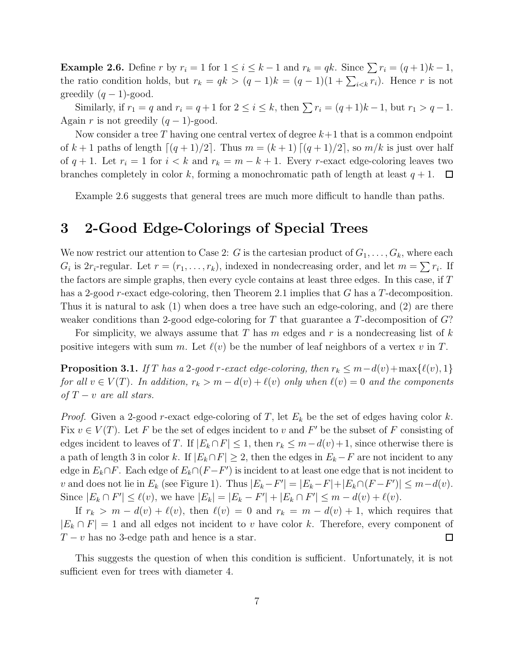**Example 2.6.** Define r by  $r_i = 1$  for  $1 \leq i \leq k-1$  and  $r_k = qk$ . Since  $\sum r_i = (q+1)k - 1$ , the ratio condition holds, but  $r_k = qk > (q-1)k = (q-1)(1 + \sum_{i \leq k} r_i)$ . Hence r is not greedily  $(q-1)$ -good.

Similarly, if  $r_1 = q$  and  $r_i = q + 1$  for  $2 \le i \le k$ , then  $\sum r_i = (q + 1)k - 1$ , but  $r_1 > q - 1$ . Again r is not greedily  $(q-1)$ -good.

Now consider a tree T having one central vertex of degree  $k+1$  that is a common endpoint of  $k+1$  paths of length  $\lceil (q+1)/2 \rceil$ . Thus  $m = (k+1) \lceil (q+1)/2 \rceil$ , so  $m/k$  is just over half of  $q + 1$ . Let  $r_i = 1$  for  $i < k$  and  $r_k = m - k + 1$ . Every r-exact edge-coloring leaves two branches completely in color k, forming a monochromatic path of length at least  $q + 1$ .  $\Box$ 

Example 2.6 suggests that general trees are much more difficult to handle than paths.

## 3 2-Good Edge-Colorings of Special Trees

We now restrict our attention to Case 2: G is the cartesian product of  $G_1, \ldots, G_k$ , where each  $G_i$  is  $2r_i$ -regular. Let  $r = (r_1, \ldots, r_k)$ , indexed in nondecreasing order, and let  $m = \sum r_i$ . If the factors are simple graphs, then every cycle contains at least three edges. In this case, if T has a 2-good *r*-exact edge-coloring, then Theorem 2.1 implies that G has a T-decomposition. Thus it is natural to ask (1) when does a tree have such an edge-coloring, and (2) are there weaker conditions than 2-good edge-coloring for T that guarantee a T-decomposition of  $G$ ?

For simplicity, we always assume that T has m edges and r is a nondecreasing list of  $k$ positive integers with sum m. Let  $\ell(v)$  be the number of leaf neighbors of a vertex v in T.

**Proposition 3.1.** *If* T has a 2*-good* r*-exact edge-coloring, then*  $r_k \leq m - d(v) + \max\{\ell(v), 1\}$ *for all*  $v \in V(T)$ *. In addition,*  $r_k > m - d(v) + l(v)$  *only when*  $l(v) = 0$  *and the components of*  $T - v$  *are all stars.* 

*Proof.* Given a 2-good r-exact edge-coloring of T, let  $E_k$  be the set of edges having color k. Fix  $v \in V(T)$ . Let F be the set of edges incident to v and F' be the subset of F consisting of edges incident to leaves of T. If  $|E_k \cap F| \leq 1$ , then  $r_k \leq m - d(v) + 1$ , since otherwise there is a path of length 3 in color k. If  $|E_k \cap F| \geq 2$ , then the edges in  $E_k - F$  are not incident to any edge in  $E_k \cap F$ . Each edge of  $E_k \cap (F - F')$  is incident to at least one edge that is not incident to v and does not lie in  $E_k$  (see Figure 1). Thus  $|E_k - F'| = |E_k - F| + |E_k \cap (F - F')| \leq m - d(v)$ . Since  $|E_k \cap F'| \le \ell(v)$ , we have  $|E_k| = |E_k - F'| + |E_k \cap F'| \le m - d(v) + \ell(v)$ .

If  $r_k > m - d(v) + \ell(v)$ , then  $\ell(v) = 0$  and  $r_k = m - d(v) + 1$ , which requires that  $|E_k \cap F| = 1$  and all edges not incident to v have color k. Therefore, every component of  $T - v$  has no 3-edge path and hence is a star.  $\Box$ 

This suggests the question of when this condition is sufficient. Unfortunately, it is not sufficient even for trees with diameter 4.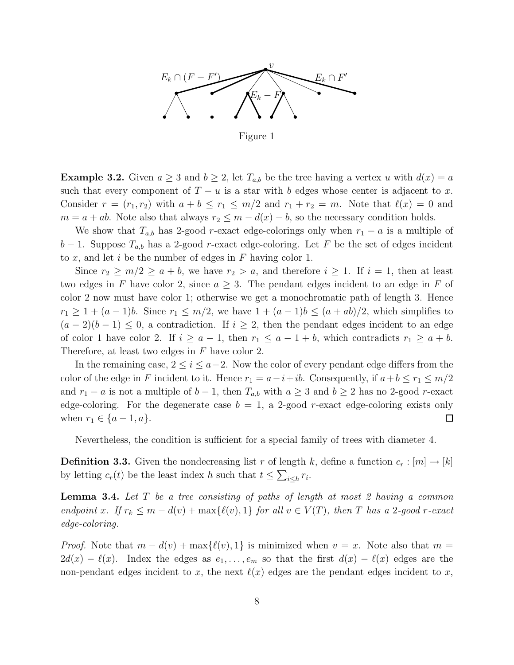

Figure 1

**Example 3.2.** Given  $a \geq 3$  and  $b \geq 2$ , let  $T_{a,b}$  be the tree having a vertex u with  $d(x) = a$ such that every component of  $T - u$  is a star with b edges whose center is adjacent to x. Consider  $r = (r_1, r_2)$  with  $a + b \leq r_1 \leq m/2$  and  $r_1 + r_2 = m$ . Note that  $\ell(x) = 0$  and  $m = a + ab$ . Note also that always  $r_2 \leq m - d(x) - b$ , so the necessary condition holds.

We show that  $T_{a,b}$  has 2-good r-exact edge-colorings only when  $r_1 - a$  is a multiple of  $b-1$ . Suppose  $T_{a,b}$  has a 2-good r-exact edge-coloring. Let F be the set of edges incident to  $x$ , and let  $i$  be the number of edges in  $F$  having color 1.

Since  $r_2 \geq m/2 \geq a+b$ , we have  $r_2 > a$ , and therefore  $i \geq 1$ . If  $i = 1$ , then at least two edges in F have color 2, since  $a \geq 3$ . The pendant edges incident to an edge in F of color 2 now must have color 1; otherwise we get a monochromatic path of length 3. Hence  $r_1 \geq 1 + (a-1)b$ . Since  $r_1 \leq m/2$ , we have  $1 + (a-1)b \leq (a+ab)/2$ , which simplifies to  $(a-2)(b-1) \leq 0$ , a contradiction. If  $i \geq 2$ , then the pendant edges incident to an edge of color 1 have color 2. If  $i \ge a-1$ , then  $r_1 \le a-1+b$ , which contradicts  $r_1 \ge a+b$ . Therefore, at least two edges in F have color 2.

In the remaining case,  $2 \leq i \leq a-2$ . Now the color of every pendant edge differs from the color of the edge in F incident to it. Hence  $r_1 = a-i+ib$ . Consequently, if  $a+b \leq r_1 \leq m/2$ and  $r_1 - a$  is not a multiple of  $b - 1$ , then  $T_{a,b}$  with  $a \geq 3$  and  $b \geq 2$  has no 2-good r-exact edge-coloring. For the degenerate case  $b = 1$ , a 2-good r-exact edge-coloring exists only when  $r_1 \in \{a-1, a\}.$  $\Box$ 

Nevertheless, the condition is sufficient for a special family of trees with diameter 4.

**Definition 3.3.** Given the nondecreasing list r of length k, define a function  $c_r : [m] \to [k]$ by letting  $c_r(t)$  be the least index h such that  $t \leq \sum_{i \leq h} r_i$ .

Lemma 3.4. *Let* T *be a tree consisting of paths of length at most 2 having a common endpoint* x. If  $r_k \leq m - d(v) + \max\{\ell(v), 1\}$  *for all*  $v \in V(T)$ *, then* T *has a* 2*-good* r-exact *edge-coloring.*

*Proof.* Note that  $m - d(v) + \max{\ell(v), 1}$  is minimized when  $v = x$ . Note also that  $m =$  $2d(x) - \ell(x)$ . Index the edges as  $e_1, \ldots, e_m$  so that the first  $d(x) - \ell(x)$  edges are the non-pendant edges incident to x, the next  $\ell(x)$  edges are the pendant edges incident to x,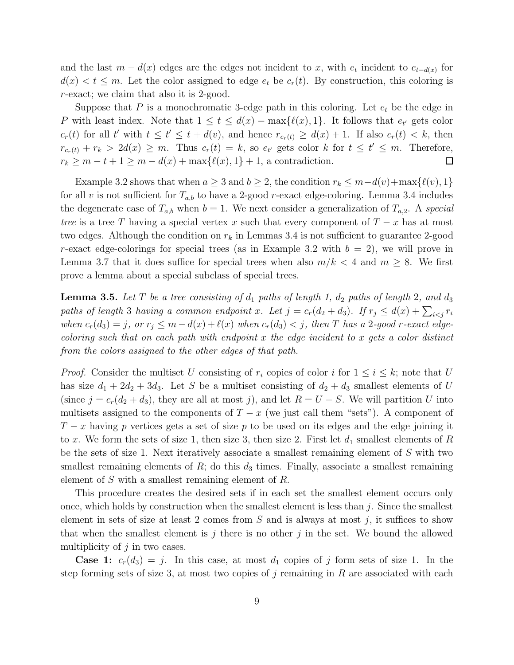and the last  $m - d(x)$  edges are the edges not incident to x, with  $e_t$  incident to  $e_{t-d(x)}$  for  $d(x) < t \leq m$ . Let the color assigned to edge  $e_t$  be  $c_r(t)$ . By construction, this coloring is r-exact; we claim that also it is 2-good.

Suppose that  $P$  is a monochromatic 3-edge path in this coloring. Let  $e_t$  be the edge in P with least index. Note that  $1 \le t \le d(x) - \max{\{\ell(x), 1\}}$ . It follows that  $e_{t'}$  gets color  $c_r(t)$  for all t' with  $t \le t' \le t + d(v)$ , and hence  $r_{c_r(t)} \ge d(x) + 1$ . If also  $c_r(t) < k$ , then  $r_{c_r(t)} + r_k > 2d(x) \geq m$ . Thus  $c_r(t) = k$ , so  $e_{t'}$  gets color k for  $t \leq t' \leq m$ . Therefore,  $r_k \geq m-t+1 \geq m-d(x)+\max\{\ell(x),1\}+1$ , a contradiction.  $\Box$ 

Example 3.2 shows that when  $a \geq 3$  and  $b \geq 2$ , the condition  $r_k \leq m - d(v) + \max\{\ell(v), 1\}$ for all v is not sufficient for  $T_{a,b}$  to have a 2-good r-exact edge-coloring. Lemma 3.4 includes the degenerate case of  $T_{a,b}$  when  $b = 1$ . We next consider a generalization of  $T_{a,2}$ . A *special tree* is a tree T having a special vertex x such that every component of  $T - x$  has at most two edges. Although the condition on  $r_k$  in Lemmas 3.4 is not sufficient to guarantee 2-good r-exact edge-colorings for special trees (as in Example 3.2 with  $b = 2$ ), we will prove in Lemma 3.7 that it does suffice for special trees when also  $m/k < 4$  and  $m \geq 8$ . We first prove a lemma about a special subclass of special trees.

**Lemma 3.5.** Let T be a tree consisting of  $d_1$  paths of length 1,  $d_2$  paths of length 2, and  $d_3$ *paths of length* 3 *having a common endpoint* x. Let  $j = c_r(d_2 + d_3)$ . If  $r_j \leq d(x) + \sum_{i < j} r_i$ *when*  $c_r(d_3) = j$ , or  $r_j \leq m - d(x) + l(x)$  *when*  $c_r(d_3) < j$ , then T has a 2-good r-exact edge*coloring such that on each path with endpoint* x *the edge incident to* x *gets a color distinct from the colors assigned to the other edges of that path.*

*Proof.* Consider the multiset U consisting of  $r_i$  copies of color i for  $1 \leq i \leq k$ ; note that U has size  $d_1 + 2d_2 + 3d_3$ . Let S be a multiset consisting of  $d_2 + d_3$  smallest elements of U (since  $j = c_r(d_2 + d_3)$ , they are all at most j), and let  $R = U - S$ . We will partition U into multisets assigned to the components of  $T - x$  (we just call them "sets"). A component of  $T-x$  having p vertices gets a set of size p to be used on its edges and the edge joining it to x. We form the sets of size 1, then size 3, then size 2. First let  $d_1$  smallest elements of R be the sets of size 1. Next iteratively associate a smallest remaining element of S with two smallest remaining elements of  $R$ ; do this  $d_3$  times. Finally, associate a smallest remaining element of S with a smallest remaining element of R.

This procedure creates the desired sets if in each set the smallest element occurs only once, which holds by construction when the smallest element is less than  $j$ . Since the smallest element in sets of size at least 2 comes from  $S$  and is always at most j, it suffices to show that when the smallest element is j there is no other j in the set. We bound the allowed multiplicity of  $j$  in two cases.

**Case 1:**  $c_r(d_3) = j$ . In this case, at most  $d_1$  copies of j form sets of size 1. In the step forming sets of size 3, at most two copies of j remaining in  $R$  are associated with each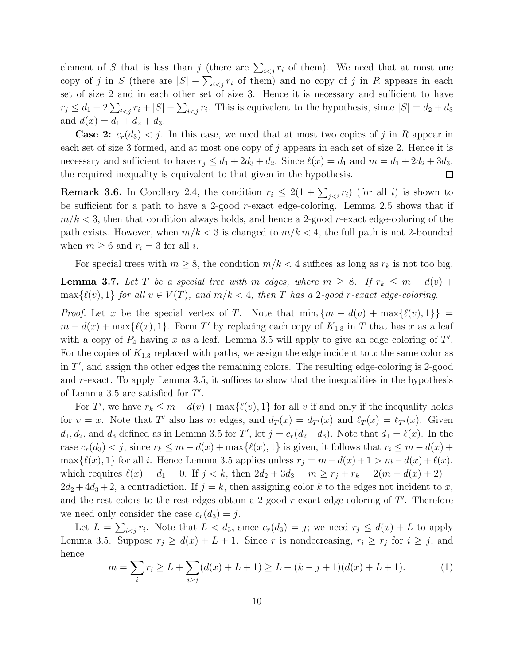element of S that is less than j (there are  $\sum_{i \leq j} r_i$  of them). We need that at most one copy of j in S (there are  $|S| - \sum_{i < j} r_i$  of them) and no copy of j in R appears in each set of size 2 and in each other set of size 3. Hence it is necessary and sufficient to have  $r_j \leq d_1 + 2\sum_{i < j} r_i + |S| - \sum_{i < j} r_i$ . This is equivalent to the hypothesis, since  $|S| = d_2 + d_3$ and  $d(x) = d_1 + d_2 + d_3$ .

**Case 2:**  $c_r(d_3) < j$ . In this case, we need that at most two copies of j in R appear in each set of size 3 formed, and at most one copy of j appears in each set of size 2. Hence it is necessary and sufficient to have  $r_j \leq d_1 + 2d_3 + d_2$ . Since  $\ell(x) = d_1$  and  $m = d_1 + 2d_2 + 3d_3$ , the required inequality is equivalent to that given in the hypothesis.  $\Box$ 

**Remark 3.6.** In Corollary 2.4, the condition  $r_i \leq 2(1 + \sum_{j (for all i) is shown to$ be sufficient for a path to have a 2-good  $r$ -exact edge-coloring. Lemma 2.5 shows that if  $m/k < 3$ , then that condition always holds, and hence a 2-good r-exact edge-coloring of the path exists. However, when  $m/k < 3$  is changed to  $m/k < 4$ , the full path is not 2-bounded when  $m \geq 6$  and  $r_i = 3$  for all *i*.

For special trees with  $m \geq 8$ , the condition  $m/k < 4$  suffices as long as  $r_k$  is not too big.

**Lemma 3.7.** Let T be a special tree with m edges, where  $m \geq 8$ . If  $r_k \leq m - d(v) +$  $\max\{\ell(v),1\}$  *for all*  $v \in V(T)$ *, and*  $m/k < 4$ *, then* T *has a* 2*-good* r-exact edge-coloring.

*Proof.* Let x be the special vertex of T. Note that  $\min_v\{m - d(v) + \max\{\ell(v), 1\}\}$  $m - d(x) + \max{\{\ell(x), 1\}}$ . Form T' by replacing each copy of  $K_{1,3}$  in T that has x as a leaf with a copy of  $P_4$  having x as a leaf. Lemma 3.5 will apply to give an edge coloring of T'. For the copies of  $K_{1,3}$  replaced with paths, we assign the edge incident to x the same color as in  $T'$ , and assign the other edges the remaining colors. The resulting edge-coloring is 2-good and  $r$ -exact. To apply Lemma 3.5, it suffices to show that the inequalities in the hypothesis of Lemma 3.5 are satisfied for  $T'$ .

For T', we have  $r_k \leq m - d(v) + \max{\{\ell(v), 1\}}$  for all v if and only if the inequality holds for  $v = x$ . Note that T' also has m edges, and  $d_T(x) = d_{T'}(x)$  and  $\ell_T(x) = \ell_{T'}(x)$ . Given  $d_1, d_2$ , and  $d_3$  defined as in Lemma 3.5 for T', let  $j = c_r(d_2 + d_3)$ . Note that  $d_1 = \ell(x)$ . In the case  $c_r(d_3) < j$ , since  $r_k \leq m - d(x) + \max\{\ell(x), 1\}$  is given, it follows that  $r_i \leq m - d(x) +$ max $\{\ell(x), 1\}$  for all i. Hence Lemma 3.5 applies unless  $r_j = m - d(x) + 1 > m - d(x) + \ell(x)$ , which requires  $\ell(x) = d_1 = 0$ . If  $j < k$ , then  $2d_2 + 3d_3 = m \ge r_j + r_k = 2(m - d(x) + 2) =$  $2d_2 + 4d_3 + 2$ , a contradiction. If  $j = k$ , then assigning color k to the edges not incident to x, and the rest colors to the rest edges obtain a 2-good  $r$ -exact edge-coloring of  $T'$ . Therefore we need only consider the case  $c_r(d_3) = j$ .

Let  $L = \sum_{i \leq j} r_i$ . Note that  $L < d_3$ , since  $c_r(d_3) = j$ ; we need  $r_j \leq d(x) + L$  to apply Lemma 3.5. Suppose  $r_j \geq d(x) + L + 1$ . Since r is nondecreasing,  $r_i \geq r_j$  for  $i \geq j$ , and hence

$$
m = \sum_{i} r_i \ge L + \sum_{i \ge j} (d(x) + L + 1) \ge L + (k - j + 1)(d(x) + L + 1). \tag{1}
$$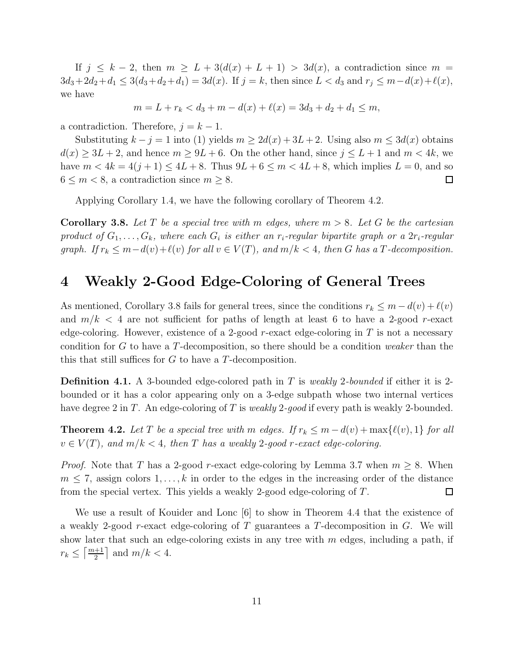If  $j \leq k-2$ , then  $m \geq L + 3(d(x) + L + 1) > 3d(x)$ , a contradiction since  $m =$  $3d_3+2d_2+d_1 \leq 3(d_3+d_2+d_1) = 3d(x)$ . If  $j = k$ , then since  $L < d_3$  and  $r_j \leq m-d(x)+\ell(x)$ , we have

$$
m = L + r_k < d_3 + m - d(x) + \ell(x) = 3d_3 + d_2 + d_1 \le m,
$$

a contradiction. Therefore,  $j = k - 1$ .

Substituting  $k - j = 1$  into (1) yields  $m \ge 2d(x) + 3L + 2$ . Using also  $m \le 3d(x)$  obtains  $d(x) \geq 3L + 2$ , and hence  $m \geq 9L + 6$ . On the other hand, since  $j \leq L + 1$  and  $m < 4k$ , we have  $m < 4k = 4(j + 1) \le 4L + 8$ . Thus  $9L + 6 \le m < 4L + 8$ , which implies  $L = 0$ , and so  $6 \leq m < 8$ , a contradiction since  $m \geq 8$ .  $\Box$ 

Applying Corollary 1.4, we have the following corollary of Theorem 4.2.

Corollary 3.8. *Let* T *be a special tree with* m *edges, where* m > 8*. Let* G *be the cartesian*  $p$ roduct of  $G_1, \ldots, G_k$ , where each  $G_i$  is either an  $r_i$ -regular bipartite graph or a  $2r_i$ -regular *graph.* If  $r_k \leq m - d(v) + \ell(v)$  for all  $v \in V(T)$ , and  $m/k < 4$ , then G has a T-decomposition.

## 4 Weakly 2-Good Edge-Coloring of General Trees

As mentioned, Corollary 3.8 fails for general trees, since the conditions  $r_k \leq m - d(v) + l(v)$ and  $m/k < 4$  are not sufficient for paths of length at least 6 to have a 2-good r-exact edge-coloring. However, existence of a 2-good r-exact edge-coloring in T is not a necessary condition for G to have a T-decomposition, so there should be a condition *weaker* than the this that still suffices for G to have a T-decomposition.

Definition 4.1. A 3-bounded edge-colored path in T is *weakly* 2*-bounded* if either it is 2 bounded or it has a color appearing only on a 3-edge subpath whose two internal vertices have degree 2 in T. An edge-coloring of T is *weakly* 2*-good* if every path is weakly 2-bounded.

**Theorem 4.2.** Let T be a special tree with m edges. If  $r_k \leq m - d(v) + \max\{\ell(v), 1\}$  for all  $v \in V(T)$ , and  $m/k < 4$ , then T has a weakly 2-good r-exact edge-coloring.

*Proof.* Note that T has a 2-good r-exact edge-coloring by Lemma 3.7 when  $m \geq 8$ . When  $m \leq 7$ , assign colors  $1, \ldots, k$  in order to the edges in the increasing order of the distance from the special vertex. This yields a weakly 2-good edge-coloring of T.  $\Box$ 

We use a result of Kouider and Lonc [6] to show in Theorem 4.4 that the existence of a weakly 2-good r-exact edge-coloring of  $T$  guarantees a  $T$ -decomposition in  $G$ . We will show later that such an edge-coloring exists in any tree with  $m$  edges, including a path, if  $r_k \leq \left\lceil \frac{m+1}{2} \right\rceil$  and  $m/k < 4$ .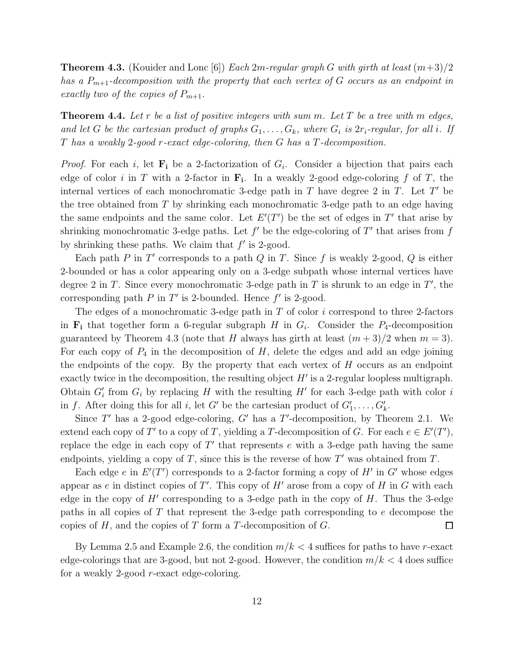Theorem 4.3. (Kouider and Lonc [6]) *Each* 2m*-regular graph* G *with girth at least* (m+3)/2 *has a* P<sup>m</sup>+1*-decomposition with the property that each vertex of* G *occurs as an endpoint in exactly two of the copies of*  $P_{m+1}$ *.* 

Theorem 4.4. *Let* r *be a list of positive integers with sum* m*. Let* T *be a tree with* m *edges,* and let G be the cartesian product of graphs  $G_1, \ldots, G_k$ , where  $G_i$  is  $2r_i$ -regular, for all i. If T *has a weakly* 2*-good* r*-exact edge-coloring, then* G *has a* T*-decomposition.*

*Proof.* For each i, let  $\mathbf{F_i}$  be a 2-factorization of  $G_i$ . Consider a bijection that pairs each edge of color *i* in T with a 2-factor in  $\mathbf{F_i}$ . In a weakly 2-good edge-coloring f of T, the internal vertices of each monochromatic 3-edge path in  $T$  have degree 2 in  $T$ . Let  $T'$  be the tree obtained from  $T$  by shrinking each monochromatic 3-edge path to an edge having the same endpoints and the same color. Let  $E'(T')$  be the set of edges in T' that arise by shrinking monochromatic 3-edge paths. Let  $f'$  be the edge-coloring of  $T'$  that arises from  $f$ by shrinking these paths. We claim that  $f'$  is 2-good.

Each path  $P$  in  $T'$  corresponds to a path  $Q$  in  $T$ . Since  $f$  is weakly 2-good,  $Q$  is either 2-bounded or has a color appearing only on a 3-edge subpath whose internal vertices have degree 2 in T. Since every monochromatic 3-edge path in T is shrunk to an edge in  $T'$ , the corresponding path  $P$  in  $T'$  is 2-bounded. Hence  $f'$  is 2-good.

The edges of a monochromatic 3-edge path in  $T$  of color  $i$  correspond to three 2-factors in  $\mathbf{F}_i$  that together form a 6-regular subgraph H in  $G_i$ . Consider the  $P_4$ -decomposition guaranteed by Theorem 4.3 (note that H always has girth at least  $(m+3)/2$  when  $m=3$ ). For each copy of  $P_4$  in the decomposition of H, delete the edges and add an edge joining the endpoints of the copy. By the property that each vertex of  $H$  occurs as an endpoint exactly twice in the decomposition, the resulting object  $H'$  is a 2-regular loopless multigraph. Obtain  $G'_{i}$  from  $G_{i}$  by replacing H with the resulting H' for each 3-edge path with color i in f. After doing this for all i, let G' be the cartesian product of  $G'_1, \ldots, G'_k$ .

Since  $T'$  has a 2-good edge-coloring,  $G'$  has a  $T'$ -decomposition, by Theorem 2.1. We extend each copy of T' to a copy of T, yielding a T-decomposition of G. For each  $e \in E'(T')$ , replace the edge in each copy of  $T'$  that represents  $e$  with a 3-edge path having the same endpoints, yielding a copy of T, since this is the reverse of how  $T'$  was obtained from T.

Each edge e in  $E'(T')$  corresponds to a 2-factor forming a copy of  $H'$  in  $G'$  whose edges appear as e in distinct copies of  $T'$ . This copy of  $H'$  arose from a copy of  $H$  in  $G$  with each edge in the copy of  $H'$  corresponding to a 3-edge path in the copy of  $H$ . Thus the 3-edge paths in all copies of T that represent the 3-edge path corresponding to e decompose the copies of  $H$ , and the copies of  $T$  form a  $T$ -decomposition of  $G$ .  $\Box$ 

By Lemma 2.5 and Example 2.6, the condition  $m/k < 4$  suffices for paths to have r-exact edge-colorings that are 3-good, but not 2-good. However, the condition  $m/k < 4$  does suffice for a weakly 2-good r-exact edge-coloring.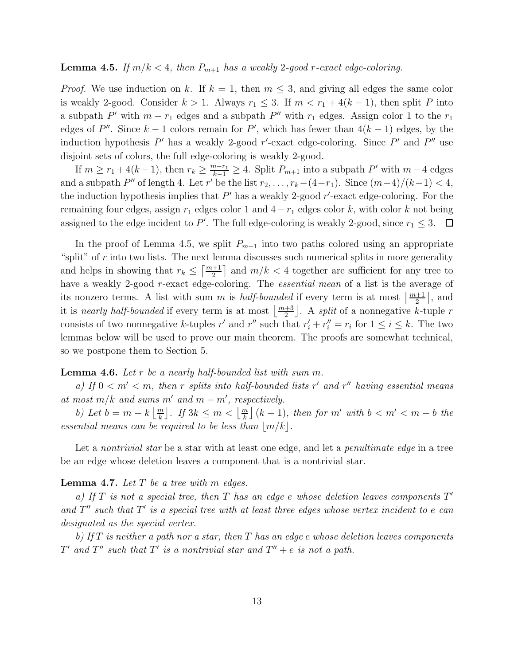#### **Lemma 4.5.** *If*  $m/k < 4$ , then  $P_{m+1}$  has a weakly 2-good r-exact edge-coloring.

*Proof.* We use induction on k. If  $k = 1$ , then  $m \leq 3$ , and giving all edges the same color is weakly 2-good. Consider  $k > 1$ . Always  $r_1 \leq 3$ . If  $m < r_1 + 4(k - 1)$ , then split P into a subpath  $P'$  with  $m - r_1$  edges and a subpath  $P''$  with  $r_1$  edges. Assign color 1 to the  $r_1$ edges of  $P''$ . Since  $k-1$  colors remain for  $P'$ , which has fewer than  $4(k-1)$  edges, by the induction hypothesis  $P'$  has a weakly 2-good r'-exact edge-coloring. Since  $P'$  and  $P''$  use disjoint sets of colors, the full edge-coloring is weakly 2-good.

If  $m \ge r_1 + 4(k-1)$ , then  $r_k \ge \frac{m-r_1}{k-1} \ge 4$ . Split  $P_{m+1}$  into a subpath  $P'$  with  $m-4$  edges and a subpath  $P''$  of length 4. Let r' be the list  $r_2, \ldots, r_k-(4-r_1)$ . Since  $(m-4)/(k-1) < 4$ , the induction hypothesis implies that  $P'$  has a weakly 2-good  $r'$ -exact edge-coloring. For the remaining four edges, assign  $r_1$  edges color 1 and  $4-r_1$  edges color k, with color k not being assigned to the edge incident to P'. The full edge-coloring is weakly 2-good, since  $r_1 \leq 3$ .

In the proof of Lemma 4.5, we split  $P_{m+1}$  into two paths colored using an appropriate "split" of  $r$  into two lists. The next lemma discusses such numerical splits in more generality and helps in showing that  $r_k \leq \left\lceil \frac{m+1}{2} \right\rceil$  and  $m/k < 4$  together are sufficient for any tree to have a weakly 2-good r-exact edge-coloring. The *essential mean* of a list is the average of its nonzero terms. A list with sum m is *half-bounded* if every term is at most  $\left\lceil \frac{m+1}{2} \right\rceil$ , and it is *nearly half-bounded* if every term is at most  $\left\lfloor \frac{m+3}{2} \right\rfloor$ . A *split* of a nonnegative k-tuple r consists of two nonnegative k-tuples r' and r'' such that  $r'_i + r''_i = r_i$  for  $1 \le i \le k$ . The two lemmas below will be used to prove our main theorem. The proofs are somewhat technical, so we postpone them to Section 5.

#### Lemma 4.6. *Let* r *be a nearly half-bounded list with sum* m*.*

*a) If* 0 < m′ < m*, then* r *splits into half-bounded lists* r ′ *and* r ′′ *having essential means at most*  $m/k$  *and sums*  $m'$  *and*  $m - m'$ *, respectively.* 

*b*) Let  $b = m - k \left\lfloor \frac{m}{k} \right\rfloor$ . If  $3k \leq m < \left\lfloor \frac{m}{k} \right\rfloor (k+1)$ , then for m' with  $b < m' < m - b$  the *essential means can be required to be less than*  $|m/k|$ *.* 

Let a *nontrivial star* be a star with at least one edge, and let a *penultimate edge* in a tree be an edge whose deletion leaves a component that is a nontrivial star.

#### Lemma 4.7. *Let* T *be a tree with* m *edges.*

*a) If* T *is not a special tree, then* T *has an edge* e *whose deletion leaves components* T ′ *and* T ′′ *such that* T ′ *is a special tree with at least three edges whose vertex incident to* e *can designated as the special vertex.*

*b) If* T *is neither a path nor a star, then* T *has an edge* e *whose deletion leaves components*  $T'$  and  $T''$  such that  $T'$  is a nontrivial star and  $T'' + e$  is not a path.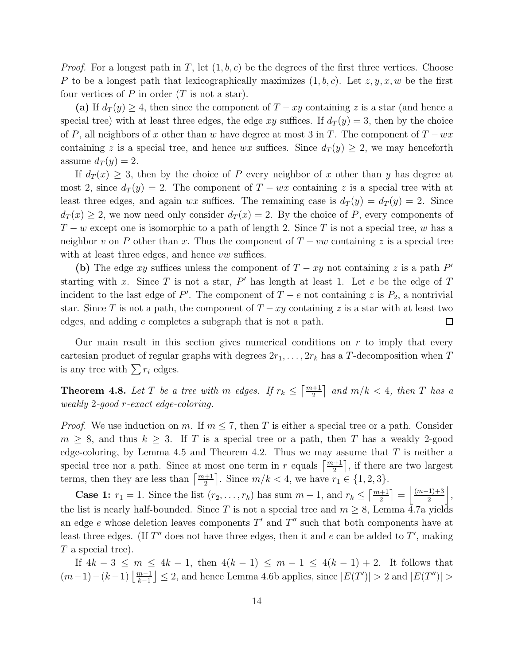*Proof.* For a longest path in T, let  $(1, b, c)$  be the degrees of the first three vertices. Choose P to be a longest path that lexicographically maximizes  $(1, b, c)$ . Let  $z, y, x, w$  be the first four vertices of  $P$  in order  $(T \text{ is not a star}).$ 

(a) If  $d_T(y) \geq 4$ , then since the component of  $T - xy$  containing z is a star (and hence a special tree) with at least three edges, the edge xy suffices. If  $d_T(y) = 3$ , then by the choice of P, all neighbors of x other than w have degree at most 3 in T. The component of  $T - wx$ containing z is a special tree, and hence wx suffices. Since  $d_T(y) \geq 2$ , we may henceforth assume  $d_T(y) = 2$ .

If  $d_T(x) \geq 3$ , then by the choice of P every neighbor of x other than y has degree at most 2, since  $d_T(y) = 2$ . The component of  $T - wx$  containing z is a special tree with at least three edges, and again wx suffices. The remaining case is  $d_T(y) = d_T(y) = 2$ . Since  $d_T(x) \geq 2$ , we now need only consider  $d_T(x) = 2$ . By the choice of P, every components of  $T - w$  except one is isomorphic to a path of length 2. Since T is not a special tree, w has a neighbor v on P other than x. Thus the component of  $T - vw$  containing z is a special tree with at least three edges, and hence  $vw$  suffices.

(b) The edge xy suffices unless the component of  $T - xy$  not containing z is a path P' starting with x. Since T is not a star,  $P'$  has length at least 1. Let e be the edge of T incident to the last edge of P'. The component of  $T - e$  not containing z is  $P_2$ , a nontrivial star. Since T is not a path, the component of  $T - xy$  containing z is a star with at least two edges, and adding e completes a subgraph that is not a path.  $\Box$ 

Our main result in this section gives numerical conditions on  $r$  to imply that every cartesian product of regular graphs with degrees  $2r_1, \ldots, 2r_k$  has a T-decomposition when T is any tree with  $\sum r_i$  edges.

**Theorem 4.8.** Let T be a tree with m edges. If  $r_k \leq \left\lceil \frac{m+1}{2} \right\rceil$  and  $m/k < 4$ , then T has a *weakly* 2*-good* r*-exact edge-coloring.*

*Proof.* We use induction on m. If  $m \leq 7$ , then T is either a special tree or a path. Consider  $m \geq 8$ , and thus  $k \geq 3$ . If T is a special tree or a path, then T has a weakly 2-good edge-coloring, by Lemma 4.5 and Theorem 4.2. Thus we may assume that  $T$  is neither a special tree nor a path. Since at most one term in r equals  $\left\lceil \frac{m+1}{2} \right\rceil$ , if there are two largest terms, then they are less than  $\left\lceil \frac{m+1}{2} \right\rceil$ . Since  $m/k < 4$ , we have  $r_1 \in \{1, 2, 3\}$ .

**Case 1:**  $r_1 = 1$ . Since the list  $(r_2, ..., r_k)$  has sum  $m - 1$ , and  $r_k \leq \left\lceil \frac{m+1}{2} \right\rceil = \left\lfloor \frac{(m-1)+3}{2} \right\rfloor$  $\frac{(1)+3}{2}$ , the list is nearly half-bounded. Since T is not a special tree and  $m \geq 8$ , Lemma 4.7a yields an edge  $e$  whose deletion leaves components  $T'$  and  $T''$  such that both components have at least three edges. (If  $T''$  does not have three edges, then it and  $e$  can be added to  $T'$ , making T a special tree).

If  $4k-3 \le m \le 4k-1$ , then  $4(k-1) \le m-1 \le 4(k-1)+2$ . It follows that  $(m-1)-(k-1)\left\lfloor\frac{m-1}{k-1}\right\rfloor\leq 2$ , and hence Lemma 4.6b applies, since  $|E(T')|>2$  and  $|E(T'')|>$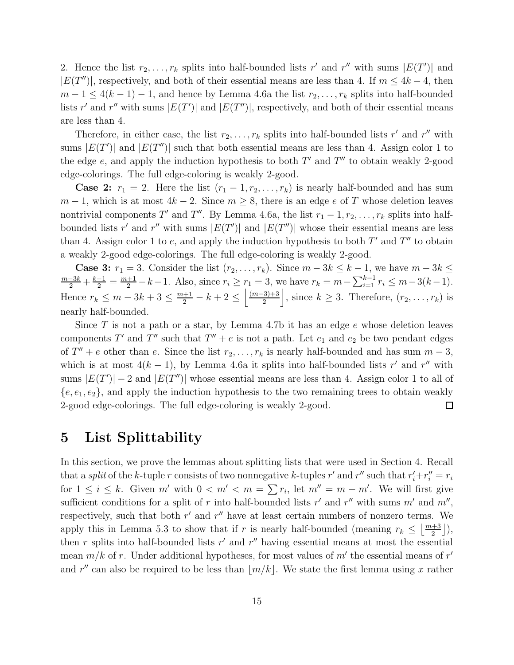2. Hence the list  $r_2, \ldots, r_k$  splits into half-bounded lists r' and r'' with sums  $|E(T')|$  and  $|E(T'')|$ , respectively, and both of their essential means are less than 4. If  $m \leq 4k - 4$ , then  $m-1 \leq 4(k-1)-1$ , and hence by Lemma 4.6a the list  $r_2, \ldots, r_k$  splits into half-bounded lists r' and r'' with sums  $|E(T')|$  and  $|E(T'')|$ , respectively, and both of their essential means are less than 4.

Therefore, in either case, the list  $r_2, \ldots, r_k$  splits into half-bounded lists r' and r'' with sums  $|E(T')|$  and  $|E(T'')|$  such that both essential means are less than 4. Assign color 1 to the edge  $e$ , and apply the induction hypothesis to both  $T'$  and  $T''$  to obtain weakly 2-good edge-colorings. The full edge-coloring is weakly 2-good.

**Case 2:**  $r_1 = 2$ . Here the list  $(r_1 - 1, r_2, \ldots, r_k)$  is nearly half-bounded and has sum  $m-1$ , which is at most  $4k-2$ . Since  $m \geq 8$ , there is an edge e of T whose deletion leaves nontrivial components T' and T". By Lemma 4.6a, the list  $r_1 - 1, r_2, \ldots, r_k$  splits into halfbounded lists r' and r'' with sums  $|E(T')|$  and  $|E(T'')|$  whose their essential means are less than 4. Assign color 1 to  $e$ , and apply the induction hypothesis to both  $T'$  and  $T''$  to obtain a weakly 2-good edge-colorings. The full edge-coloring is weakly 2-good.

**Case 3:**  $r_1 = 3$ . Consider the list  $(r_2, \ldots, r_k)$ . Since  $m - 3k \leq k - 1$ , we have  $m - 3k \leq$  $\frac{m-3k}{2} + \frac{k-1}{2} = \frac{m+1}{2} - k - 1$ . Also, since  $r_i \ge r_1 = 3$ , we have  $r_k = m - \sum_{i=1}^{k-1} r_i \le m - 3(k-1)$ . Hence  $r_k \leq m-3k+3 \leq \frac{m+1}{2} - k + 2 \leq \left\lfloor \frac{(m-3)+3}{2} \right\rfloor$  $\frac{(3+3)(3+3)}{2}$ , since  $k \geq 3$ . Therefore,  $(r_2, \ldots, r_k)$  is nearly half-bounded.

Since  $T$  is not a path or a star, by Lemma 4.7b it has an edge  $e$  whose deletion leaves components T' and T'' such that  $T'' + e$  is not a path. Let  $e_1$  and  $e_2$  be two pendant edges of  $T'' + e$  other than e. Since the list  $r_2, \ldots, r_k$  is nearly half-bounded and has sum  $m-3$ , which is at most  $4(k-1)$ , by Lemma 4.6a it splits into half-bounded lists r' and r'' with sums  $|E(T')|-2$  and  $|E(T'')|$  whose essential means are less than 4. Assign color 1 to all of  ${e, e_1, e_2}$ , and apply the induction hypothesis to the two remaining trees to obtain weakly 2-good edge-colorings. The full edge-coloring is weakly 2-good.  $\Box$ 

### 5 List Splittability

In this section, we prove the lemmas about splitting lists that were used in Section 4. Recall that a *split* of the k-tuple r consists of two nonnegative k-tuples r' and r'' such that  $r'_i+r''_i=r_i$ for  $1 \leq i \leq k$ . Given m' with  $0 < m' < m = \sum r_i$ , let  $m'' = m - m'$ . We will first give sufficient conditions for a split of r into half-bounded lists r' and r'' with sums  $m'$  and  $m''$ , respectively, such that both  $r'$  and  $r''$  have at least certain numbers of nonzero terms. We apply this in Lemma 5.3 to show that if r is nearly half-bounded (meaning  $r_k \leq \lfloor \frac{m+3}{2} \rfloor$ ), then r splits into half-bounded lists  $r'$  and  $r''$  having essential means at most the essential mean  $m/k$  of r. Under additional hypotheses, for most values of m' the essential means of r' and r'' can also be required to be less than  $\lfloor m/k \rfloor$ . We state the first lemma using x rather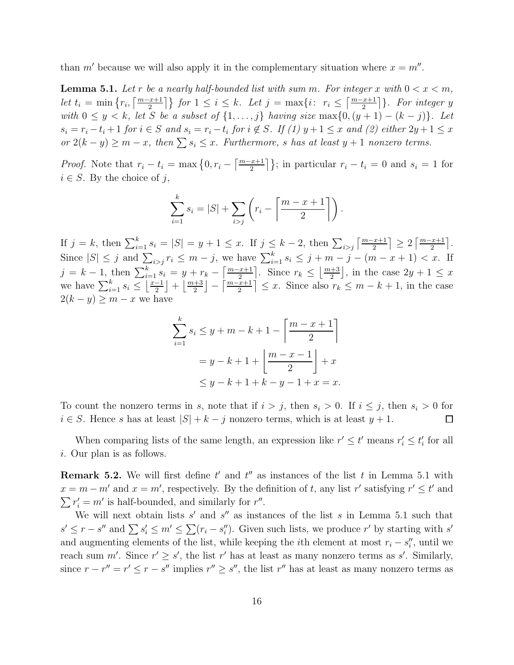than m' because we will also apply it in the complementary situation where  $x = m''$ .

**Lemma 5.1.** Let r be a nearly half-bounded list with sum m. For integer x with  $0 < x < m$ , *let*  $t_i = \min\left\{r_i, \left\lceil \frac{m-x+1}{2} \right\rceil\right\}$  for  $1 \leq i \leq k$ . Let  $j = \max\{i: r_i \leq \left\lceil \frac{m-x+1}{2} \right\rceil\}$ . For integer y *with*  $0 \leq y < k$ *, let* S *be a subset of*  $\{1, ..., j\}$  *having size* max $\{0, (y + 1) - (k - j)\}$ *. Let*  $s_i = r_i - t_i + 1$  for  $i \in S$  and  $s_i = r_i - t_i$  for  $i \notin S$ . If (1)  $y + 1 \leq x$  and (2) either  $2y + 1 \leq x$  $\int$  *or*  $2(k - y) \ge m - x$ , then  $\sum s_i \le x$ . Furthermore, s has at least y + 1 nonzero terms.

*Proof.* Note that  $r_i - t_i = \max\left\{0, r_i - \left\lceil \frac{m-x+1}{2} \right\rceil \right\};$  in particular  $r_i - t_i = 0$  and  $s_i = 1$  for  $i \in S$ . By the choice of j,

$$
\sum_{i=1}^{k} s_i = |S| + \sum_{i>j} \left( r_i - \left\lceil \frac{m-x+1}{2} \right\rceil \right).
$$

If  $j = k$ , then  $\sum_{i=1}^{k} s_i = |S| = y + 1 \leq x$ . If  $j \leq k - 2$ , then  $\sum_{i > j} \left\lceil \frac{m - x + 1}{2} \right\rceil \geq 2 \left\lceil \frac{m - x + 1}{2} \right\rceil$ . Since  $|S| \leq j$  and  $\sum_{i>j} r_i \leq m-j$ , we have  $\sum_{i=1}^k s_i \leq j+m-j-(m-x+1) < x$ . If  $j = k - 1$ , then  $\sum_{i=1}^{k} s_i = y + r_k - \left[\frac{m - x + 1}{2}\right]$ . Since  $r_k \leq \left\lfloor \frac{m + 3}{2} \right\rfloor$ , in the case  $2y + 1 \leq x$ we have  $\sum_{i=1}^{k} s_i \leq \left\lfloor \frac{x-1}{2} \right\rfloor$  $\left\lfloor \frac{-1}{2} \right\rfloor + \left\lfloor \frac{m+3}{2} \right\rfloor - \left\lceil \frac{m-x+1}{2} \right\rceil \leq x$ . Since also  $r_k \leq m - k + 1$ , in the case  $2(k - y) \geq m - x$  we have

$$
\sum_{i=1}^{k} s_i \le y + m - k + 1 - \left\lceil \frac{m - x + 1}{2} \right\rceil
$$
  
=  $y - k + 1 + \left\lfloor \frac{m - x - 1}{2} \right\rfloor + x$   
 $\le y - k + 1 + k - y - 1 + x = x.$ 

To count the nonzero terms in s, note that if  $i > j$ , then  $s_i > 0$ . If  $i \leq j$ , then  $s_i > 0$  for  $i \in S$ . Hence s has at least  $|S| + k - j$  nonzero terms, which is at least  $y + 1$ .  $\Box$ 

When comparing lists of the same length, an expression like  $r' \leq t'$  means  $r'_i \leq t'_i$  for all i. Our plan is as follows.

**Remark 5.2.** We will first define  $t'$  and  $t''$  as instances of the list  $t$  in Lemma 5.1 with  $x = m - m'$  and  $x = m'$ , respectively. By the definition of t, any list r' satisfying  $r' \le t'$  and  $\sum r'_i = m'$  is half-bounded, and similarly for r''.

We will next obtain lists  $s'$  and  $s''$  as instances of the list s in Lemma 5.1 such that  $s' \leq r - s''$  and  $\sum s'_i \leq m' \leq \sum (r_i - s''_i)$ . Given such lists, we produce r' by starting with s' and augmenting elements of the list, while keeping the *i*th element at most  $r_i - s''_i$ , until we reach sum m'. Since  $r' \geq s'$ , the list r' has at least as many nonzero terms as s'. Similarly, since  $r - r'' = r' \le r - s''$  implies  $r'' \ge s''$ , the list r'' has at least as many nonzero terms as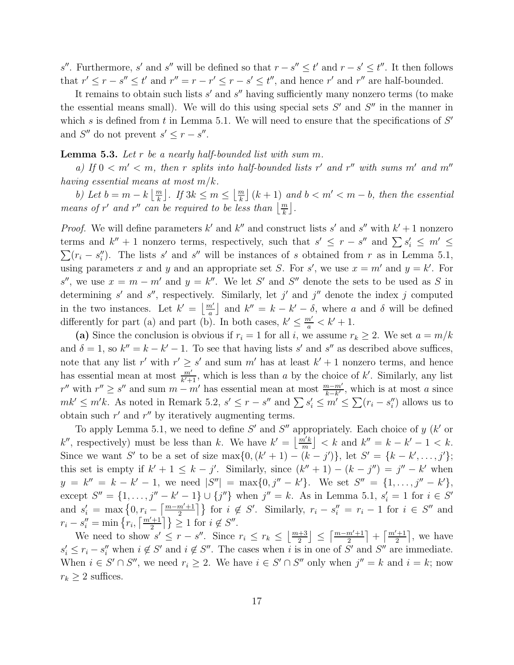s''. Furthermore, s' and s'' will be defined so that  $r - s'' \le t'$  and  $r - s' \le t''$ . It then follows that  $r' \le r - s'' \le t'$  and  $r'' = r - r' \le r - s' \le t''$ , and hence  $r'$  and  $r''$  are half-bounded.

It remains to obtain such lists  $s'$  and  $s''$  having sufficiently many nonzero terms (to make the essential means small). We will do this using special sets  $S'$  and  $S''$  in the manner in which s is defined from t in Lemma 5.1. We will need to ensure that the specifications of  $S'$ and  $S''$  do not prevent  $s' \leq r - s''$ .

#### Lemma 5.3. *Let* r *be a nearly half-bounded list with sum* m*.*

*a)* If  $0 < m' < m$ , then r splits into half-bounded lists r' and r'' with sums m' and m'' *having essential means at most* m/k*.*

*b*) Let  $b = m - k \left\lfloor \frac{m}{k} \right\rfloor$ . If  $3k \leq m \leq \left\lfloor \frac{m}{k} \right\rfloor (k+1)$  and  $b < m' < m - b$ , then the essential *means of*  $r'$  *and*  $r''$  *can be required to be less than*  $\left\lfloor \frac{m}{k} \right\rfloor$ *.* 

*Proof.* We will define parameters  $k'$  and  $k''$  and construct lists s' and s'' with  $k' + 1$  nonzero terms and  $k'' + 1$  nonzero terms, respectively, such that  $s' \le r - s''$  and  $\sum s'_i \le m' \le$  $\sum (r_i - s''_i)$ . The lists s' and s'' will be instances of s obtained from r as in Lemma 5.1, using parameters x and y and an appropriate set S. For s', we use  $x = m'$  and  $y = k'$ . For s'', we use  $x = m - m'$  and  $y = k''$ . We let S' and S'' denote the sets to be used as S in determining s' and s'', respectively. Similarly, let j' and j'' denote the index j computed in the two instances. Let  $k' = \left\lfloor \frac{m'}{a} \right\rfloor$  and  $k'' = k - k' - \delta$ , where a and  $\delta$  will be defined differently for part (a) and part (b). In both cases,  $k' \leq \frac{m'}{a} < k' + 1$ .

(a) Since the conclusion is obvious if  $r_i = 1$  for all i, we assume  $r_k \geq 2$ . We set  $a = m/k$ and  $\delta = 1$ , so  $k'' = k - k' - 1$ . To see that having lists s' and s'' as described above suffices, note that any list r' with  $r' \geq s'$  and sum m' has at least  $k' + 1$  nonzero terms, and hence has essential mean at most  $\frac{m'}{k'+1}$ , which is less than a by the choice of k'. Similarly, any list r'' with  $r'' \ge s''$  and sum  $m - m'$  has essential mean at most  $\frac{m - m'}{k - k'}$ , which is at most a since  $mk' \leq m'k$ . As noted in Remark 5.2,  $s' \leq r - s''$  and  $\sum s_i' \leq m' \leq \sum (r_i - s_i'')$  allows us to obtain such  $r'$  and  $r''$  by iteratively augmenting terms.

To apply Lemma 5.1, we need to define  $S'$  and  $S''$  appropriately. Each choice of  $y$  ( $k'$  or k'', respectively) must be less than k. We have  $k' = \lfloor \frac{m'k}{m} \rfloor < k$  and  $k'' = k - k' - 1 < k$ . Since we want S' to be a set of size  $\max\{0, (k' + 1) - (k - j')\}$ , let  $S' = \{k - k', \ldots, j'\};$ this set is empty if  $k' + 1 \leq k - j'$ . Similarly, since  $(k'' + 1) - (k - j'') = j'' - k'$  when  $y = k'' = k - k' - 1$ , we need  $|S''| = \max\{0, j'' - k'\}$ . We set  $S'' = \{1, ..., j'' - k'\}$ , except  $S'' = \{1, ..., j'' - k' - 1\} \cup \{j''\}$  when  $j'' = k$ . As in Lemma 5.1,  $s'_i = 1$  for  $i \in S'$ and  $s'_i = \max\left\{0, r_i - \left[\frac{m-m'+1}{2}\right]\right\}$  for  $i \notin S'$ . Similarly,  $r_i - s''_i = r_i - 1$  for  $i \in S''$  and  $r_i - s''_i = \min\left\{r_i, \left\lceil \frac{m'+1}{2} \right\rceil \right\} \geq 1$  for  $i \notin S''$ .

We need to show  $s' \leq r - s''$ . Since  $r_i \leq r_k \leq \left\lfloor \frac{m+3}{2} \right\rfloor \leq \left\lceil \frac{m-m'+1}{2} \right\rceil + \left\lceil \frac{m'+1}{2} \right\rceil$ , we have  $s'_i \leq r_i - s''_i$  when  $i \notin S'$  and  $i \notin S''$ . The cases when i is in one of S' and S'' are immediate. When  $i \in S' \cap S''$ , we need  $r_i \geq 2$ . We have  $i \in S' \cap S''$  only when  $j'' = k$  and  $i = k$ ; now  $r_k \geq 2$  suffices.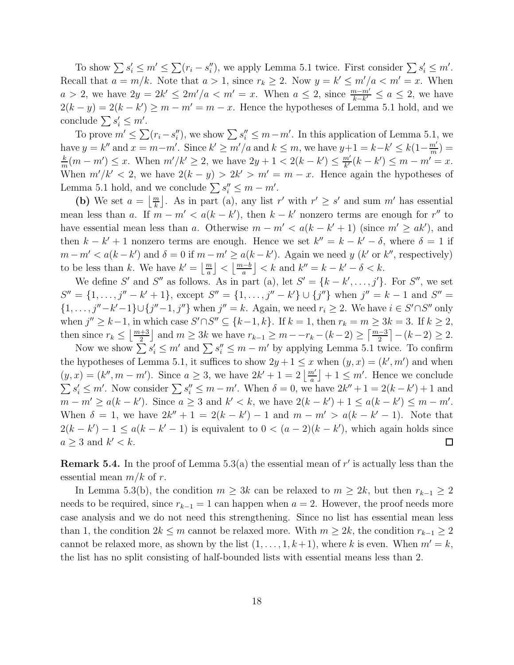To show  $\sum s'_i \le m' \le \sum (r_i - s''_i)$ , we apply Lemma 5.1 twice. First consider  $\sum s'_i \le m'$ . Recall that  $a = m/k$ . Note that  $a > 1$ , since  $r_k \geq 2$ . Now  $y = k' \leq m'/a < m' = x$ . When  $a > 2$ , we have  $2y = 2k' \leq 2m'/a < m' = x$ . When  $a \leq 2$ , since  $\frac{m - m'}{k - k'} \leq a \leq 2$ , we have  $2(k - y) = 2(k - k') \ge m - m' = m - x$ . Hence the hypotheses of Lemma 5.1 hold, and we conclude  $\sum s'_i \leq m'$ .

To prove  $m' \leq \sum (r_i - s''_i)$ , we show  $\sum s''_i \leq m - m'$ . In this application of Lemma 5.1, we have  $y = k''$  and  $x = m-m'$ . Since  $k' \ge m'/a$  and  $k \le m$ , we have  $y+1 = k-k' \le k(1-\frac{m'}{m'})$  $\frac{m'}{m}$ ) = k  $\frac{k}{m}(m-m') \leq x$ . When  $m'/k' \geq 2$ , we have  $2y+1 < 2(k-k') \leq \frac{m'}{k'}$  $\frac{m'}{k'}(k-k') \leq m-m' = x.$ When  $m'/k' < 2$ , we have  $2(k - y) > 2k' > m' = m - x$ . Hence again the hypotheses of Lemma 5.1 hold, and we conclude  $\sum s''_i \leq m - m'$ .

(b) We set  $a = \lfloor \frac{m}{k} \rfloor$ . As in part (a), any list r' with  $r' \geq s'$  and sum m' has essential mean less than a. If  $m - m' < a(k - k')$ , then  $k - k'$  nonzero terms are enough for r'' to have essential mean less than a. Otherwise  $m - m' < a(k - k' + 1)$  (since  $m' \geq ak'$ ), and then  $k - k' + 1$  nonzero terms are enough. Hence we set  $k'' = k - k' - \delta$ , where  $\delta = 1$  if  $m - m' < a(k - k')$  and  $\delta = 0$  if  $m - m' \ge a(k - k')$ . Again we need y (k' or k'', respectively) to be less than k. We have  $k' = \left\lfloor \frac{m}{a} \right\rfloor < \left\lfloor \frac{m-b}{a} \right\rfloor < k$  and  $k'' = k - k' - \delta < k$ .

We define S' and S'' as follows. As in part (a), let  $S' = \{k - k', \ldots, j'\}$ . For S'', we set  $S'' = \{1, \ldots, j'' - k' + 1\}$ , except  $S'' = \{1, \ldots, j'' - k'\} \cup \{j''\}$  when  $j'' = k - 1$  and  $S'' =$  $\{1,\ldots,j''-k'-1\}\cup\{j''-1,j''\}$  when  $j''=k$ . Again, we need  $r_i\geq 2$ . We have  $i\in S'\cap S''$  only when  $j'' \geq k-1$ , in which case  $S' \cap S'' \subseteq \{k-1, k\}$ . If  $k = 1$ , then  $r_k = m \geq 3k = 3$ . If  $k \geq 2$ , then since  $r_k \leq \lfloor \frac{m+3}{2} \rfloor$  and  $m \geq 3k$  we have  $r_{k-1} \geq m - r_k - (k-2) \geq \lceil \frac{m-3}{2} \rceil - (k-2) \geq 2$ .

Now we show  $\sum s'_i \leq m'$  and  $\sum s''_i \leq m - m'$  by applying Lemma 5.1 twice. To confirm the hypotheses of Lemma 5.1, it suffices to show  $2y + 1 \le x$  when  $(y, x) = (k', m')$  and when  $(y, x) = (k'', m - m')$ . Since  $a \geq 3$ , we have  $2k' + 1 = 2\left\lfloor \frac{m'}{a} \right\rfloor + 1 \leq m'$ . Hence we conclude  $\sum s'_i \leq m'$ . Now consider  $\sum s''_i \leq m - m'$ . When  $\delta = 0$ , we have  $2k'' + 1 = 2(k - k') + 1$  and  $m - m' \ge a(k - k')$ . Since  $a \ge 3$  and  $k' < k$ , we have  $2(k - k') + 1 \le a(k - k') \le m - m'$ . When  $\delta = 1$ , we have  $2k'' + 1 = 2(k - k') - 1$  and  $m - m' > a(k - k' - 1)$ . Note that  $2(k - k') - 1 \le a(k - k' - 1)$  is equivalent to  $0 < (a - 2)(k - k')$ , which again holds since  $a \geq 3$  and  $k' < k$ .  $\Box$ 

**Remark 5.4.** In the proof of Lemma 5.3(a) the essential mean of  $r'$  is actually less than the essential mean  $m/k$  of r.

In Lemma 5.3(b), the condition  $m \geq 3k$  can be relaxed to  $m \geq 2k$ , but then  $r_{k-1} \geq 2$ needs to be required, since  $r_{k-1} = 1$  can happen when  $a = 2$ . However, the proof needs more case analysis and we do not need this strengthening. Since no list has essential mean less than 1, the condition  $2k \le m$  cannot be relaxed more. With  $m \ge 2k$ , the condition  $r_{k-1} \ge 2$ cannot be relaxed more, as shown by the list  $(1, \ldots, 1, k+1)$ , where k is even. When  $m' = k$ , the list has no split consisting of half-bounded lists with essential means less than 2.